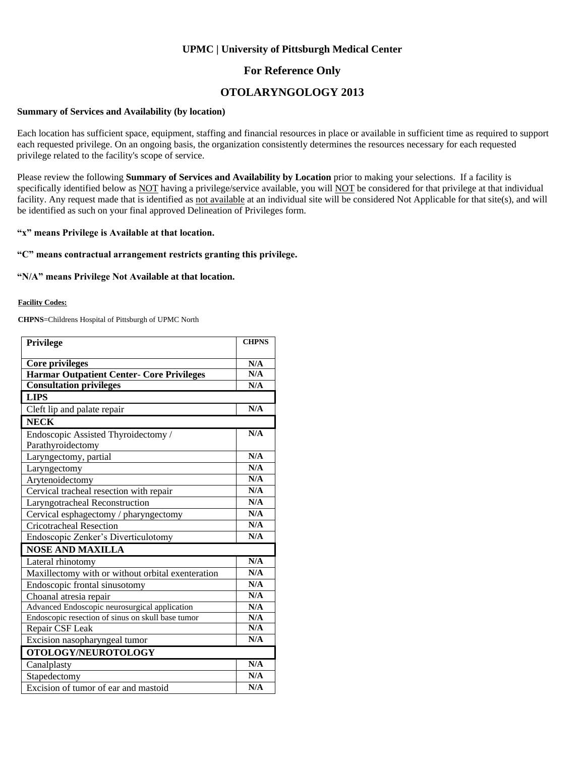### **UPMC | University of Pittsburgh Medical Center**

### **For Reference Only**

## **OTOLARYNGOLOGY 2013**

#### **Summary of Services and Availability (by location)**

Each location has sufficient space, equipment, staffing and financial resources in place or available in sufficient time as required to support each requested privilege. On an ongoing basis, the organization consistently determines the resources necessary for each requested privilege related to the facility's scope of service.

Please review the following **Summary of Services and Availability by Location** prior to making your selections. If a facility is specifically identified below as NOT having a privilege/service available, you will NOT be considered for that privilege at that individual facility. Any request made that is identified as not available at an individual site will be considered Not Applicable for that site(s), and will be identified as such on your final approved Delineation of Privileges form.

#### **"x" means Privilege is Available at that location.**

#### **"C" means contractual arrangement restricts granting this privilege.**

#### **"N/A" means Privilege Not Available at that location.**

#### **Facility Codes:**

**CHPNS**=Childrens Hospital of Pittsburgh of UPMC North

| <b>Privilege</b>                                  | <b>CHPNS</b>            |
|---------------------------------------------------|-------------------------|
|                                                   |                         |
| <b>Core privileges</b>                            | N/A                     |
| Harmar Outpatient Center- Core Privileges         | N/A                     |
| <b>Consultation privileges</b>                    | N/A                     |
| <b>LIPS</b>                                       |                         |
| Cleft lip and palate repair                       | N/A                     |
| <b>NECK</b>                                       |                         |
| Endoscopic Assisted Thyroidectomy /               | N/A                     |
| Parathyroidectomy                                 |                         |
| Laryngectomy, partial                             | N/A                     |
| Laryngectomy                                      | N/A                     |
| Arytenoidectomy                                   | N/A                     |
| Cervical tracheal resection with repair           | N/A                     |
| Laryngotracheal Reconstruction                    | N/A                     |
| Cervical esphagectomy / pharyngectomy             | N/A                     |
| <b>Cricotracheal Resection</b>                    | N/A                     |
| Endoscopic Zenker's Diverticulotomy               | N/A                     |
| <b>NOSE AND MAXILLA</b>                           |                         |
| Lateral rhinotomy                                 | N/A                     |
| Maxillectomy with or without orbital exenteration | N/A                     |
| Endoscopic frontal sinusotomy                     | N/A                     |
| Choanal atresia repair                            | N/A                     |
| Advanced Endoscopic neurosurgical application     | N/A                     |
| Endoscopic resection of sinus on skull base tumor | N/A                     |
| Repair CSF Leak                                   | N/A                     |
| Excision nasopharyngeal tumor                     | N/A                     |
| OTOLOGY/NEUROTOLOGY                               |                         |
| Canalplasty                                       | $\overline{\text{N/A}}$ |
| Stapedectomy                                      | N/A                     |
| Excision of tumor of ear and mastoid              | N/A                     |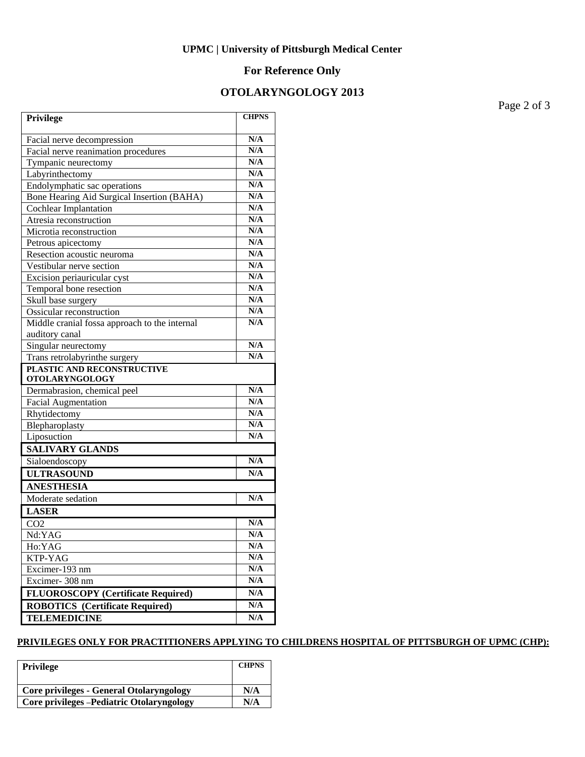## **UPMC | University of Pittsburgh Medical Center**

## **For Reference Only**

## **OTOLARYNGOLOGY 2013**

Page 2 of 3

| Privilege                                     | <b>CHPNS</b>            |
|-----------------------------------------------|-------------------------|
| Facial nerve decompression                    | N/A                     |
| Facial nerve reanimation procedures           | N/A                     |
| Tympanic neurectomy                           | N/A                     |
| Labyrinthectomy                               | N/A                     |
| Endolymphatic sac operations                  | N/A                     |
| Bone Hearing Aid Surgical Insertion (BAHA)    | N/A                     |
| <b>Cochlear Implantation</b>                  | N/A                     |
| Atresia reconstruction                        | N/A                     |
| Microtia reconstruction                       | N/A                     |
| Petrous apicectomy                            | N/A                     |
| Resection acoustic neuroma                    | N/A                     |
| Vestibular nerve section                      | N/A                     |
| Excision periauricular cyst                   | N/A                     |
| Temporal bone resection                       | N/A                     |
| Skull base surgery                            | N/A                     |
| Ossicular reconstruction                      | N/A                     |
| Middle cranial fossa approach to the internal | N/A                     |
| auditory canal                                |                         |
| Singular neurectomy                           | N/A                     |
| Trans retrolabyrinthe surgery                 | N/A                     |
| <b>PLASTIC AND RECONSTRUCTIVE</b>             |                         |
| <b>OTOLARYNGOLOGY</b>                         |                         |
| Dermabrasion, chemical peel                   | N/A                     |
| <b>Facial Augmentation</b>                    | N/A                     |
| Rhytidectomy                                  | N/A                     |
| Blepharoplasty                                | N/A                     |
| Liposuction                                   | N/A                     |
| <b>SALIVARY GLANDS</b>                        |                         |
| Sialoendoscopy                                | N/A                     |
| <b>ULTRASOUND</b>                             | N/A                     |
| <b>ANESTHESIA</b>                             |                         |
| Moderate sedation                             | N/A                     |
| <b>LASER</b>                                  |                         |
| CO <sub>2</sub>                               | N/A                     |
| Nd:YAG                                        | N/A                     |
| Ho:YAG                                        | N/A                     |
| KTP-YAG                                       | N/A                     |
| Excimer-193 nm                                | N/A                     |
| Excimer-308 nm                                | N/A                     |
| <b>FLUOROSCOPY</b> (Certificate Required)     | $\mathbf{N}/\mathbf{A}$ |
| <b>ROBOTICS</b> (Certificate Required)        | N/A                     |
| <b>TELEMEDICINE</b>                           | N/A                     |
|                                               |                         |

### **PRIVILEGES ONLY FOR PRACTITIONERS APPLYING TO CHILDRENS HOSPITAL OF PITTSBURGH OF UPMC (CHP):**

| Privilege                                  | <b>CHPNS</b> |
|--------------------------------------------|--------------|
| Core privileges - General Otolaryngology   | N/A          |
| Core privileges - Pediatric Otolaryngology | N/A          |